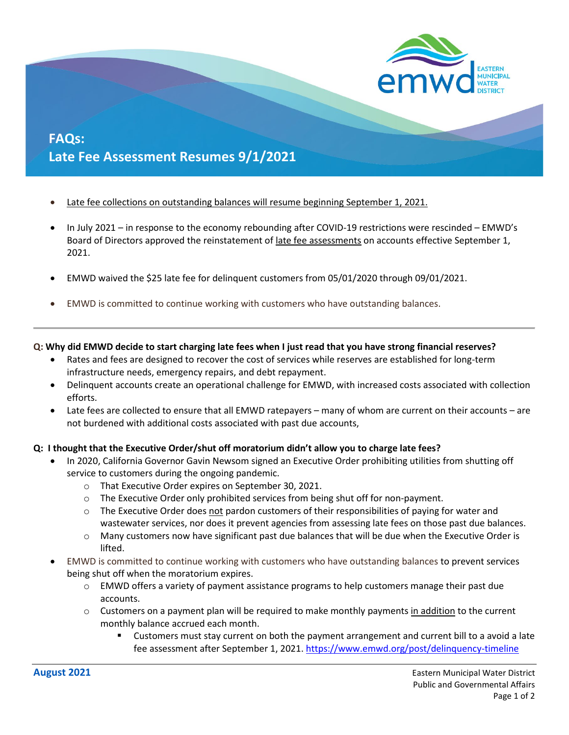

# **FAQs: Late Fee Assessment Resumes 9/1/2021**

- [Late fee collections on outstanding balances will resume beginning September](https://gcc02.safelinks.protection.outlook.com/?url=https%3A%2F%2Fwww.emwd.org%2Fpost%2Fdelinquency-timeline&data=04%7C01%7Cguerrere%40emwd.org%7C187eaea869eb4b1463a408d962816f1f%7Cf7112bcf929c48f7bf407231589cba03%7C0%7C0%7C637649130339820414%7CUnknown%7CTWFpbGZsb3d8eyJWIjoiMC4wLjAwMDAiLCJQIjoiV2luMzIiLCJBTiI6Ik1haWwiLCJXVCI6Mn0%3D%7C1000&sdata=cFMEVr4UnrlXvcd%2FeOXKxiWD7pZXI8hMaE1cMfq2AeU%3D&reserved=0) 1, 2021.
- In July 2021 in response to the economy rebounding after COVID-19 restrictions were rescinded EMWD's Board of Directors approved the reinstatement o[f late fee assessments](https://gcc02.safelinks.protection.outlook.com/?url=https%3A%2F%2Fwww.emwd.org%2Fpost%2Fdelinquency-timeline&data=04%7C01%7Cguerrere%40emwd.org%7C187eaea869eb4b1463a408d962816f1f%7Cf7112bcf929c48f7bf407231589cba03%7C0%7C0%7C637649130339820414%7CUnknown%7CTWFpbGZsb3d8eyJWIjoiMC4wLjAwMDAiLCJQIjoiV2luMzIiLCJBTiI6Ik1haWwiLCJXVCI6Mn0%3D%7C1000&sdata=cFMEVr4UnrlXvcd%2FeOXKxiWD7pZXI8hMaE1cMfq2AeU%3D&reserved=0) on accounts effective September 1, 2021.
- EMWD waived the \$25 late fee for delinquent customers from 05/01/2020 through 09/01/2021.
- EMWD is committed to continue working with customers who have outstanding balances.

#### **Q: Why did EMWD decide to start charging late fees when I just read that you have strong financial reserves?**

- Rates and fees are designed to recover the cost of services while reserves are established for long-term infrastructure needs, emergency repairs, and debt repayment.
- Delinquent accounts create an operational challenge for EMWD, with increased costs associated with collection efforts.
- Late fees are collected to ensure that all EMWD ratepayers many of whom are current on their accounts are not burdened with additional costs associated with past due accounts,

#### **Q: I thought that the Executive Order/shut off moratorium didn't allow you to charge late fees?**

- In 2020, California Governor Gavin Newsom signed an Executive Order prohibiting utilities from shutting off service to customers during the ongoing pandemic.
	- o That Executive Order expires on September 30, 2021.
	- o The Executive Order only prohibited services from being shut off for non-payment.
	- $\circ$  The Executive Order does not pardon customers of their responsibilities of paying for water and wastewater services, nor does it prevent agencies from assessing late fees on those past due balances.
	- o Many customers now have significant past due balances that will be due when the Executive Order is lifted.
- EMWD is committed to continue working with customers who have outstanding balances to prevent services being shut off when the moratorium expires.
	- $\circ$  EMWD offers a variety of payment assistance programs to help customers manage their past due accounts.
	- $\circ$  Customers on a payment plan will be required to make monthly payments in addition to the current monthly balance accrued each month.
		- Customers must stay current on both the payment arrangement and current bill to a avoid a late fee assessment after September 1, 2021.<https://www.emwd.org/post/delinquency-timeline>